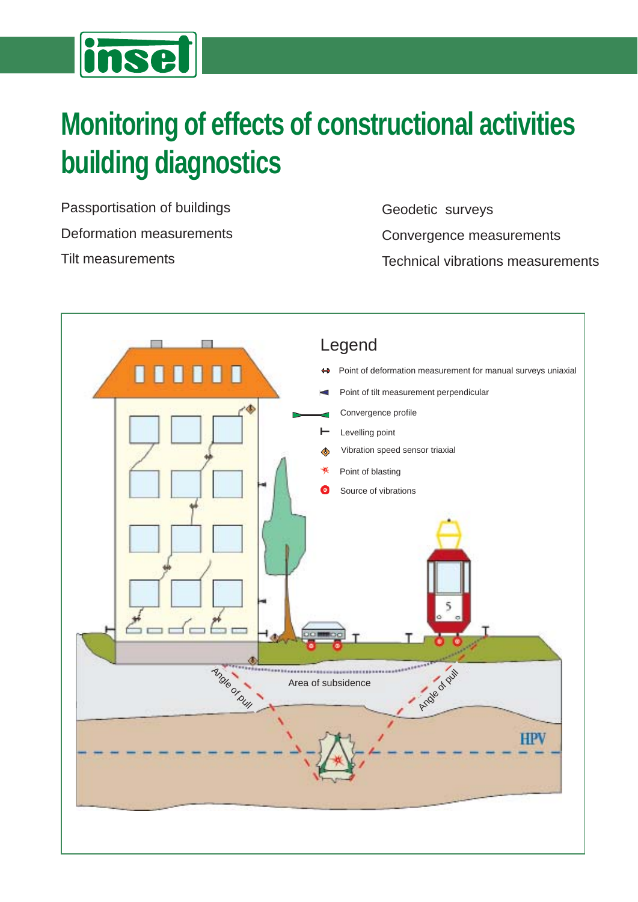# inset

# **Monitoring of effects of constructional activities building diagnostics**

Passportisation of buildings Deformation measurements Tilt measurements

Geodetic surveys Convergence measurements Technical vibrations measurements

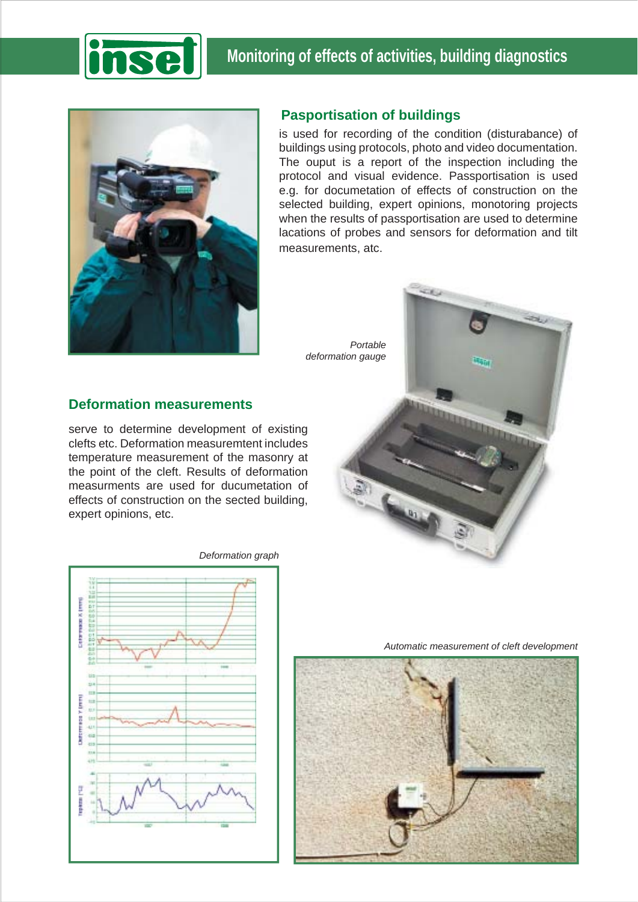



## **Pasportisation of buildings**

is used for recording of the condition (disturabance) of buildings using protocols, photo and video documentation. The ouput is a report of the inspection including the protocol and visual evidence. Passportisation is used e.g. for documetation of effects of construction on the selected building, expert opinions, monotoring projects when the results of passportisation are used to determine lacations of probes and sensors for deformation and tilt measurements, atc.

**CORD** 

*Portable deformation gauge*

# **Deformation measurements**

serve to determine development of existing clefts etc. Deformation measuremtent includes temperature measurement of the masonry at the point of the cleft. Results of deformation measurments are used for ducumetation of effects of construction on the sected building, expert opinions, etc.



*Deformation graph*

*Automatic measurement of cleft development*

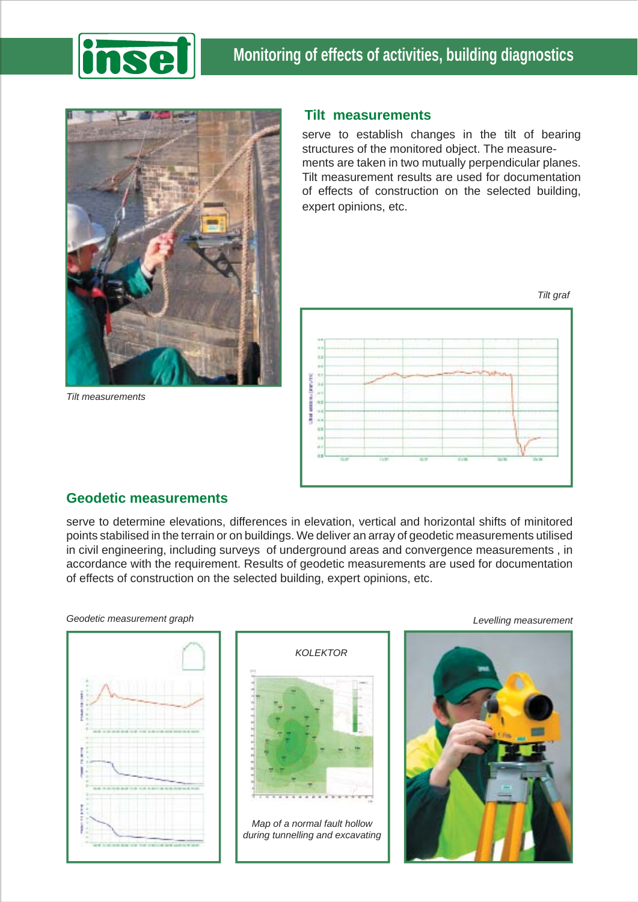



*Tilt measurements*

#### **Tilt measurements**

serve to establish changes in the tilt of bearing structures of the monitored object. The measurements are taken in two mutually perpendicular planes. Tilt measurement results are used for documentation of effects of construction on the selected building, expert opinions, etc.



## **Geodetic measurements**

serve to determine elevations, differences in elevation, vertical and horizontal shifts of minitored points stabilised in the terrain or on buildings. We deliver an array of geodetic measurements utilised in civil engineering, including surveys of underground areas and convergence measurements , in accordance with the requirement. Results of geodetic measurements are used for documentation of effects of construction on the selected building, expert opinions, etc.

*Geodetic measurement graph*





*Map of a normal fault hollow during tunnelling and excavating*

*Levelling measurement*